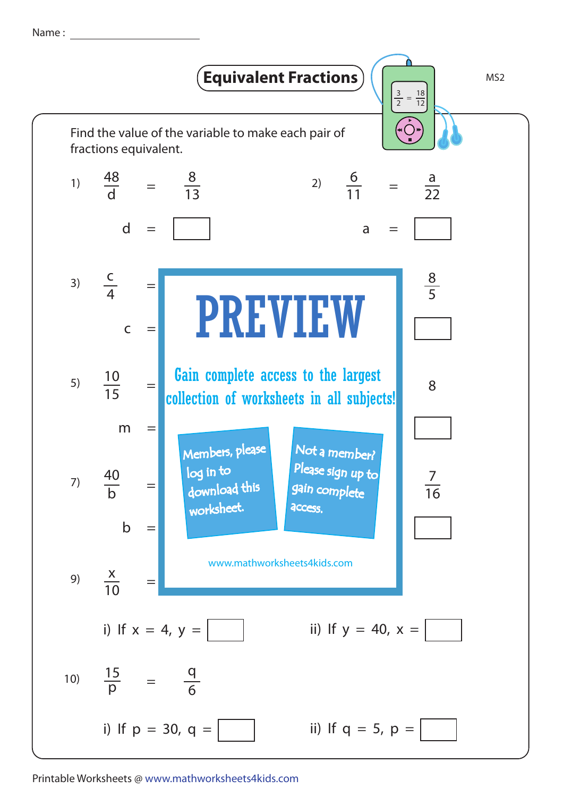Name :



Printable Worksheets @ www.mathworksheets4kids.com